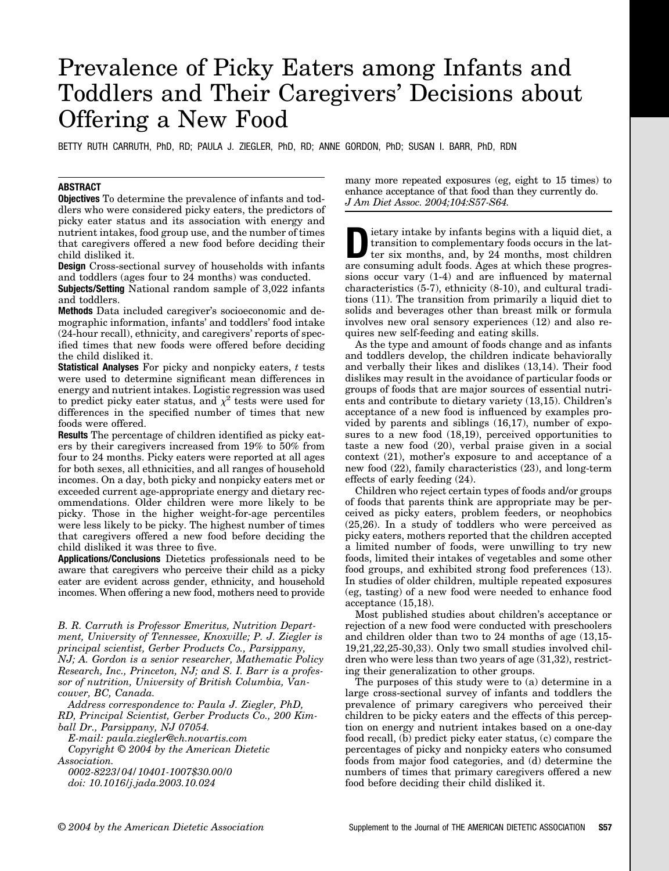# Prevalence of Picky Eaters among Infants and Toddlers and Their Caregivers' Decisions about Offering a New Food

BETTY RUTH CARRUTH, PhD, RD; PAULA J. ZIEGLER, PhD, RD; ANNE GORDON, PhD; SUSAN I. BARR, PhD, RDN

# **ABSTRACT**

**Objectives** To determine the prevalence of infants and toddlers who were considered picky eaters, the predictors of picky eater status and its association with energy and nutrient intakes, food group use, and the number of times that caregivers offered a new food before deciding their child disliked it.

**Design** Cross-sectional survey of households with infants and toddlers (ages four to 24 months) was conducted.

**Subjects/Setting** National random sample of 3,022 infants and toddlers.

**Methods** Data included caregiver's socioeconomic and demographic information, infants' and toddlers' food intake (24-hour recall), ethnicity, and caregivers' reports of specified times that new foods were offered before deciding the child disliked it.

**Statistical Analyses** For picky and nonpicky eaters, *t* tests were used to determine significant mean differences in energy and nutrient intakes. Logistic regression was used to predict picky eater status, and  $\chi^2$  tests were used for differences in the specified number of times that new foods were offered.

**Results** The percentage of children identified as picky eaters by their caregivers increased from 19% to 50% from four to 24 months. Picky eaters were reported at all ages for both sexes, all ethnicities, and all ranges of household incomes. On a day, both picky and nonpicky eaters met or exceeded current age-appropriate energy and dietary recommendations. Older children were more likely to be picky. Those in the higher weight-for-age percentiles were less likely to be picky. The highest number of times that caregivers offered a new food before deciding the child disliked it was three to five.

**Applications/Conclusions** Dietetics professionals need to be aware that caregivers who perceive their child as a picky eater are evident across gender, ethnicity, and household incomes. When offering a new food, mothers need to provide

*B. R. Carruth is Professor Emeritus, Nutrition Department, University of Tennessee, Knoxville; P. J. Ziegler is principal scientist, Gerber Products Co., Parsippany, NJ; A. Gordon is a senior researcher, Mathematic Policy Research, Inc., Princeton, NJ; and S. I. Barr is a professor of nutrition, University of British Columbia, Vancouver, BC, Canada.*

*Address correspondence to: Paula J. Ziegler, PhD, RD, Principal Scientist, Gerber Products Co., 200 Kimball Dr., Parsippany, NJ 07054.*

*E-mail: paula.ziegler@ch.novartis.com*

*Copyright © 2004 by the American Dietetic Association.*

*0002-8223/04/10401-1007\$30.00/0 doi: 10.1016/j.jada.2003.10.024*

many more repeated exposures (eg, eight to 15 times) to enhance acceptance of that food than they currently do. *J Am Diet Assoc. 2004;104:S57-S64.*

**D**ietary intake by infants begins with a liquid diet, a<br>transition to complementary foods occurs in the lat-<br>ter six months, and, by 24 months, most children<br>are consuming adult foods. Aggs at which these progres transition to complementary foods occurs in the latare consuming adult foods. Ages at which these progressions occur vary (1-4) and are influenced by maternal characteristics (5-7), ethnicity (8-10), and cultural traditions (11). The transition from primarily a liquid diet to solids and beverages other than breast milk or formula involves new oral sensory experiences (12) and also requires new self-feeding and eating skills.

As the type and amount of foods change and as infants and toddlers develop, the children indicate behaviorally and verbally their likes and dislikes (13,14). Their food dislikes may result in the avoidance of particular foods or groups of foods that are major sources of essential nutrients and contribute to dietary variety (13,15). Children's acceptance of a new food is influenced by examples provided by parents and siblings (16,17), number of exposures to a new food  $(18,19)$ , perceived opportunities to taste a new food (20), verbal praise given in a social context (21), mother's exposure to and acceptance of a new food (22), family characteristics (23), and long-term effects of early feeding (24).

Children who reject certain types of foods and/or groups of foods that parents think are appropriate may be perceived as picky eaters, problem feeders, or neophobics (25,26). In a study of toddlers who were perceived as picky eaters, mothers reported that the children accepted a limited number of foods, were unwilling to try new foods, limited their intakes of vegetables and some other food groups, and exhibited strong food preferences (13). In studies of older children, multiple repeated exposures (eg, tasting) of a new food were needed to enhance food acceptance (15,18).

Most published studies about children's acceptance or rejection of a new food were conducted with preschoolers and children older than two to 24 months of age (13,15- 19,21,22,25-30,33). Only two small studies involved children who were less than two years of age (31,32), restricting their generalization to other groups.

The purposes of this study were to (a) determine in a large cross-sectional survey of infants and toddlers the prevalence of primary caregivers who perceived their children to be picky eaters and the effects of this perception on energy and nutrient intakes based on a one-day food recall, (b) predict picky eater status, (c) compare the percentages of picky and nonpicky eaters who consumed foods from major food categories, and (d) determine the numbers of times that primary caregivers offered a new food before deciding their child disliked it.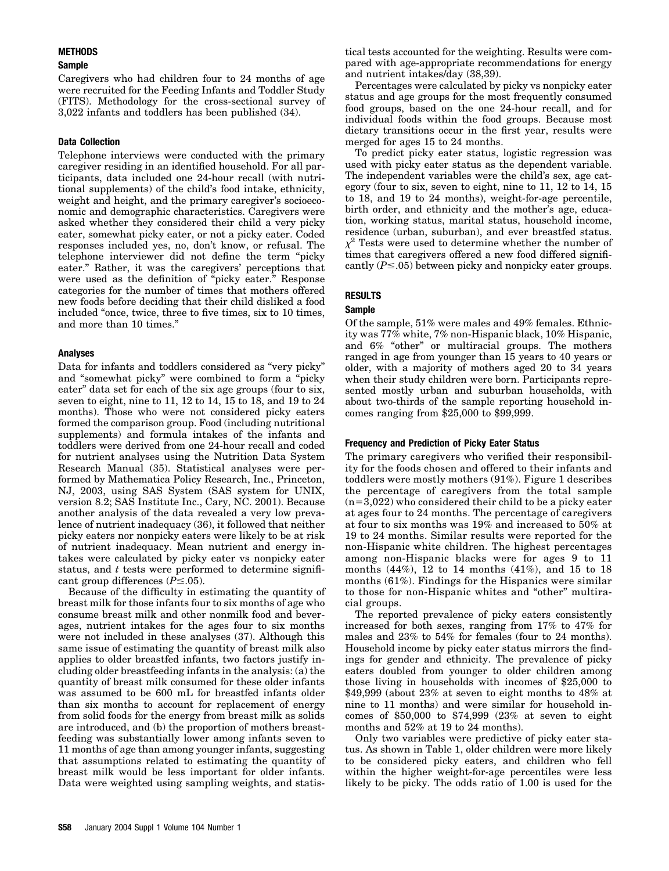# **METHODS**

#### **Sample**

Caregivers who had children four to 24 months of age were recruited for the Feeding Infants and Toddler Study (FITS). Methodology for the cross-sectional survey of 3,022 infants and toddlers has been published (34).

# **Data Collection**

Telephone interviews were conducted with the primary caregiver residing in an identified household. For all participants, data included one 24-hour recall (with nutritional supplements) of the child's food intake, ethnicity, weight and height, and the primary caregiver's socioeconomic and demographic characteristics. Caregivers were asked whether they considered their child a very picky eater, somewhat picky eater, or not a picky eater. Coded responses included yes, no, don't know, or refusal. The telephone interviewer did not define the term "picky eater." Rather, it was the caregivers' perceptions that were used as the definition of "picky eater." Response categories for the number of times that mothers offered new foods before deciding that their child disliked a food included "once, twice, three to five times, six to 10 times, and more than 10 times."

# **Analyses**

Data for infants and toddlers considered as "very picky" and "somewhat picky" were combined to form a "picky eater" data set for each of the six age groups (four to six, seven to eight, nine to 11, 12 to 14, 15 to 18, and 19 to 24 months). Those who were not considered picky eaters formed the comparison group. Food (including nutritional supplements) and formula intakes of the infants and toddlers were derived from one 24-hour recall and coded for nutrient analyses using the Nutrition Data System Research Manual (35). Statistical analyses were performed by Mathematica Policy Research, Inc., Princeton, NJ, 2003, using SAS System (SAS system for UNIX, version 8.2; SAS Institute Inc., Cary, NC. 2001). Because another analysis of the data revealed a very low prevalence of nutrient inadequacy (36), it followed that neither picky eaters nor nonpicky eaters were likely to be at risk of nutrient inadequacy. Mean nutrient and energy intakes were calculated by picky eater vs nonpicky eater status, and *t* tests were performed to determine significant group differences  $(P \le 0.05)$ .

Because of the difficulty in estimating the quantity of breast milk for those infants four to six months of age who consume breast milk and other nonmilk food and beverages, nutrient intakes for the ages four to six months were not included in these analyses (37). Although this same issue of estimating the quantity of breast milk also applies to older breastfed infants, two factors justify including older breastfeeding infants in the analysis: (a) the quantity of breast milk consumed for these older infants was assumed to be 600 mL for breastfed infants older than six months to account for replacement of energy from solid foods for the energy from breast milk as solids are introduced, and (b) the proportion of mothers breastfeeding was substantially lower among infants seven to 11 months of age than among younger infants, suggesting that assumptions related to estimating the quantity of breast milk would be less important for older infants. Data were weighted using sampling weights, and statistical tests accounted for the weighting. Results were compared with age-appropriate recommendations for energy and nutrient intakes/day (38,39).

Percentages were calculated by picky vs nonpicky eater status and age groups for the most frequently consumed food groups, based on the one 24-hour recall, and for individual foods within the food groups. Because most dietary transitions occur in the first year, results were merged for ages 15 to 24 months.

To predict picky eater status, logistic regression was used with picky eater status as the dependent variable. The independent variables were the child's sex, age category (four to six, seven to eight, nine to 11, 12 to 14, 15 to 18, and 19 to 24 months), weight-for-age percentile, birth order, and ethnicity and the mother's age, education, working status, marital status, household income, residence (urban, suburban), and ever breastfed status.  $\chi^2$  Tests were used to determine whether the number of times that caregivers offered a new food differed significantly  $(P \le 0.05)$  between picky and nonpicky eater groups.

# **RESULTS**

# **Sample**

Of the sample, 51% were males and 49% females. Ethnicity was 77% white, 7% non-Hispanic black, 10% Hispanic, and 6% "other" or multiracial groups. The mothers ranged in age from younger than 15 years to 40 years or older, with a majority of mothers aged 20 to 34 years when their study children were born. Participants represented mostly urban and suburban households, with about two-thirds of the sample reporting household incomes ranging from \$25,000 to \$99,999.

# **Frequency and Prediction of Picky Eater Status**

The primary caregivers who verified their responsibility for the foods chosen and offered to their infants and toddlers were mostly mothers (91%). Figure 1 describes the percentage of caregivers from the total sample  $(n=3,022)$  who considered their child to be a picky eater at ages four to 24 months. The percentage of caregivers at four to six months was 19% and increased to 50% at 19 to 24 months. Similar results were reported for the non-Hispanic white children. The highest percentages among non-Hispanic blacks were for ages 9 to 11 months (44%), 12 to 14 months (41%), and 15 to 18 months (61%). Findings for the Hispanics were similar to those for non-Hispanic whites and "other" multiracial groups.

The reported prevalence of picky eaters consistently increased for both sexes, ranging from 17% to 47% for males and 23% to 54% for females (four to 24 months). Household income by picky eater status mirrors the findings for gender and ethnicity. The prevalence of picky eaters doubled from younger to older children among those living in households with incomes of \$25,000 to \$49,999 (about 23% at seven to eight months to 48% at nine to 11 months) and were similar for household incomes of \$50,000 to \$74,999 (23% at seven to eight months and 52% at 19 to 24 months).

Only two variables were predictive of picky eater status. As shown in Table 1, older children were more likely to be considered picky eaters, and children who fell within the higher weight-for-age percentiles were less likely to be picky. The odds ratio of 1.00 is used for the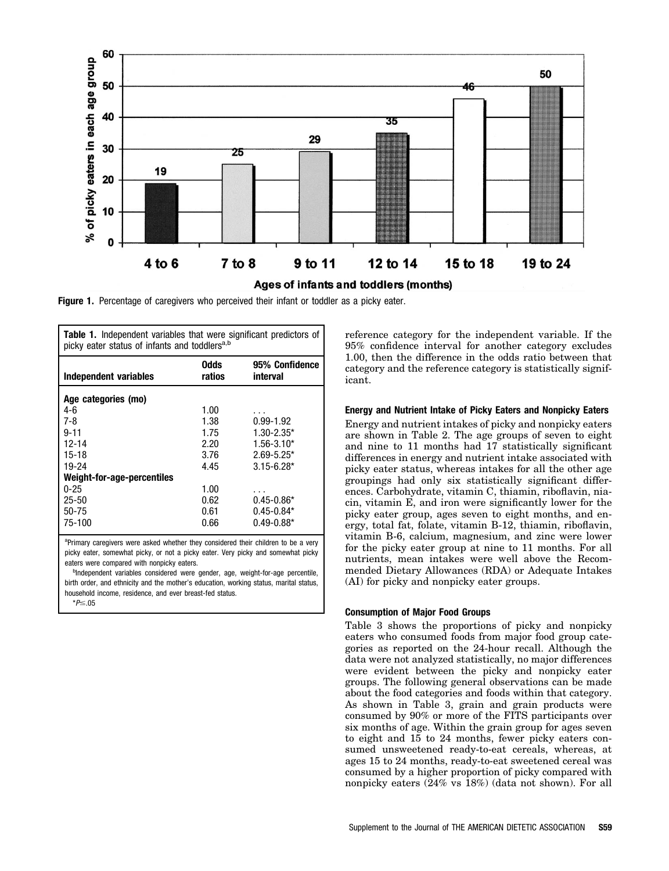

**Figure 1.** Percentage of caregivers who perceived their infant or toddler as a picky eater.

| <b>Table 1.</b> Independent variables that were significant predictors of<br>picky eater status of infants and toddlers <sup>a,b</sup> |                |                            |  |  |  |  |
|----------------------------------------------------------------------------------------------------------------------------------------|----------------|----------------------------|--|--|--|--|
| Independent variables                                                                                                                  | Odds<br>ratios | 95% Confidence<br>interval |  |  |  |  |
| Age categories (mo)                                                                                                                    |                |                            |  |  |  |  |
| 4-6                                                                                                                                    | 1.00           |                            |  |  |  |  |
| $7 - 8$                                                                                                                                | 1.38           | $0.99 - 1.92$              |  |  |  |  |
| $9 - 11$                                                                                                                               | 1.75           | $1.30 - 2.35*$             |  |  |  |  |
| 12-14                                                                                                                                  | 2.20           | $1.56 - 3.10*$             |  |  |  |  |
| $15 - 18$                                                                                                                              | 3.76           | $2.69 - 5.25*$             |  |  |  |  |
| 19-24                                                                                                                                  | 4.45           | $3.15 - 6.28*$             |  |  |  |  |
| Weight-for-age-percentiles                                                                                                             |                |                            |  |  |  |  |
| $0 - 25$                                                                                                                               | 1.00           |                            |  |  |  |  |
| $25 - 50$                                                                                                                              | 0.62           | $0.45 - 0.86*$             |  |  |  |  |
| $50 - 75$                                                                                                                              | 0.61           | $0.45 - 0.84*$             |  |  |  |  |
| 75-100                                                                                                                                 | 0.66           | $0.49 - 0.88*$             |  |  |  |  |

<sup>a</sup>Primary caregivers were asked whether they considered their children to be a very picky eater, somewhat picky, or not a picky eater. Very picky and somewhat picky eaters were compared with nonpicky eaters.

<sup>b</sup>Independent variables considered were gender, age, weight-for-age percentile, birth order, and ethnicity and the mother's education, working status, marital status, household income, residence, and ever breast-fed status.

\**P*≤.05

reference category for the independent variable. If the 95% confidence interval for another category excludes 1.00, then the difference in the odds ratio between that category and the reference category is statistically significant.

#### **Energy and Nutrient Intake of Picky Eaters and Nonpicky Eaters**

Energy and nutrient intakes of picky and nonpicky eaters are shown in Table 2. The age groups of seven to eight and nine to 11 months had 17 statistically significant differences in energy and nutrient intake associated with picky eater status, whereas intakes for all the other age groupings had only six statistically significant differences. Carbohydrate, vitamin C, thiamin, riboflavin, niacin, vitamin E, and iron were significantly lower for the picky eater group, ages seven to eight months, and energy, total fat, folate, vitamin B-12, thiamin, riboflavin, vitamin B-6, calcium, magnesium, and zinc were lower for the picky eater group at nine to 11 months. For all nutrients, mean intakes were well above the Recommended Dietary Allowances (RDA) or Adequate Intakes (AI) for picky and nonpicky eater groups.

#### **Consumption of Major Food Groups**

Table 3 shows the proportions of picky and nonpicky eaters who consumed foods from major food group categories as reported on the 24-hour recall. Although the data were not analyzed statistically, no major differences were evident between the picky and nonpicky eater groups. The following general observations can be made about the food categories and foods within that category. As shown in Table 3, grain and grain products were consumed by 90% or more of the FITS participants over six months of age. Within the grain group for ages seven to eight and 15 to 24 months, fewer picky eaters consumed unsweetened ready-to-eat cereals, whereas, at ages 15 to 24 months, ready-to-eat sweetened cereal was consumed by a higher proportion of picky compared with nonpicky eaters (24% vs 18%) (data not shown). For all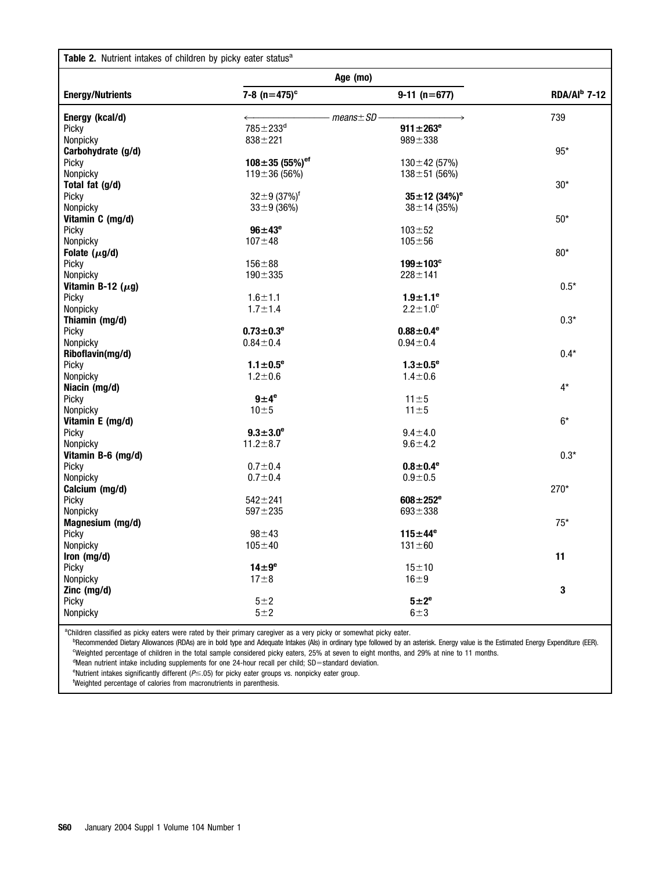| Table 2. Nutrient intakes of children by picky eater status <sup>a</sup> |                                  |                                |                 |  |  |  |  |
|--------------------------------------------------------------------------|----------------------------------|--------------------------------|-----------------|--|--|--|--|
|                                                                          | Age (mo)                         |                                |                 |  |  |  |  |
| <b>Energy/Nutrients</b>                                                  | 7-8 $(n=475)^c$                  | $9-11$ (n=677)                 | $RDA/Al^b$ 7-12 |  |  |  |  |
| Energy (kcal/d)                                                          |                                  | $-$ means $\pm$ SD $-$         | 739             |  |  |  |  |
| Picky                                                                    | $785 \pm 233$ <sup>d</sup>       | $911 \pm 263^e$                |                 |  |  |  |  |
| Nonpicky                                                                 | $838 + 221$                      | $989 + 338$                    |                 |  |  |  |  |
| Carbohydrate (g/d)                                                       |                                  |                                | $95*$           |  |  |  |  |
| Picky                                                                    | $108 \pm 35$ (55%) <sup>ef</sup> | $130 \pm 42$ (57%)             |                 |  |  |  |  |
| Nonpicky                                                                 | $119 \pm 36(56\%)$               | $138 \pm 51$ (56%)             |                 |  |  |  |  |
| Total fat (g/d)                                                          |                                  |                                | $30*$           |  |  |  |  |
| Picky                                                                    | $32\pm9(37\%)^{\dagger}$         | $35 \pm 12$ (34%) <sup>e</sup> |                 |  |  |  |  |
| Nonpicky                                                                 | $33 \pm 9$ (36%)                 | $38 \pm 14 (35\%)$             |                 |  |  |  |  |
| Vitamin C (mg/d)                                                         |                                  |                                | $50*$           |  |  |  |  |
| Picky                                                                    | $96 \pm 43^{\circ}$              | $103 + 52$                     |                 |  |  |  |  |
| Nonpicky                                                                 | $107 + 48$                       | $105 + 56$                     |                 |  |  |  |  |
| Folate $(\mu g/d)$                                                       |                                  |                                | $80*$           |  |  |  |  |
| Picky                                                                    | $156 + 88$                       | $199 \pm 103$ <sup>c</sup>     |                 |  |  |  |  |
| Nonpicky                                                                 | $190 + 335$                      | $228 + 141$                    |                 |  |  |  |  |
| Vitamin B-12 $(\mu g)$                                                   |                                  |                                | $0.5*$          |  |  |  |  |
| Picky                                                                    | $1.6 + 1.1$                      | $1.9 \pm 1.1^{\circ}$          |                 |  |  |  |  |
| Nonpicky                                                                 | $1.7 + 1.4$                      | $2.2 \pm 1.0^c$                |                 |  |  |  |  |
| Thiamin (mg/d)                                                           |                                  |                                | $0.3*$          |  |  |  |  |
| Picky                                                                    | $0.73 \pm 0.3^e$                 | $0.88 \pm 0.4^e$               |                 |  |  |  |  |
| Nonpicky                                                                 | $0.84 + 0.4$                     | $0.94 + 0.4$                   |                 |  |  |  |  |
| Riboflavin(mg/d)                                                         |                                  |                                | $0.4*$          |  |  |  |  |
| Picky                                                                    | $1.1 \pm 0.5^{\circ}$            | $1.3 \pm 0.5^{\circ}$          |                 |  |  |  |  |
| Nonpicky                                                                 | $1.2 \pm 0.6$                    | $1.4 \pm 0.6$                  |                 |  |  |  |  |
| Niacin (mg/d)                                                            |                                  |                                | $4^{\star}$     |  |  |  |  |
| Picky                                                                    | $9\pm4^e$                        | $11 \pm 5$                     |                 |  |  |  |  |
| Nonpicky                                                                 | $10\pm5$                         | $11 \pm 5$                     |                 |  |  |  |  |
| Vitamin E (mg/d)                                                         |                                  |                                | $6*$            |  |  |  |  |
| Picky                                                                    | $9.3 \pm 3.0^e$                  | $9.4 \pm 4.0$                  |                 |  |  |  |  |
| Nonpicky                                                                 | $11.2 \pm 8.7$                   | $9.6 + 4.2$                    |                 |  |  |  |  |
| Vitamin B-6 (mg/d)                                                       |                                  |                                |                 |  |  |  |  |
|                                                                          |                                  |                                | $0.3*$          |  |  |  |  |
| Picky<br>Nonpicky                                                        | $0.7 + 0.4$                      | $0.8 \pm 0.4^{\circ}$          |                 |  |  |  |  |
| Calcium (mg/d)                                                           | $0.7 + 0.4$                      | $0.9 + 0.5$                    | 270*            |  |  |  |  |
|                                                                          |                                  |                                |                 |  |  |  |  |
| Picky                                                                    | $542 + 241$                      | $608 \pm 252^e$                |                 |  |  |  |  |
| Nonpicky                                                                 | $597 + 235$                      | $693 + 338$                    |                 |  |  |  |  |
| Magnesium (mg/d)                                                         |                                  |                                | $75*$           |  |  |  |  |
| Picky                                                                    | $98 + 43$                        | $115 \pm 44^e$                 |                 |  |  |  |  |
| Nonpicky                                                                 | $105 + 40$                       | $131 \pm 60$                   |                 |  |  |  |  |
| Iron (mg/d)                                                              |                                  |                                | 11              |  |  |  |  |
| Picky                                                                    | $14\pm9^\mathrm{e}$              | $15 + 10$                      |                 |  |  |  |  |
| Nonpicky                                                                 | $17\pm8$                         | $16 \pm 9$                     |                 |  |  |  |  |
| Zinc (mg/d)                                                              |                                  |                                | $\bf{3}$        |  |  |  |  |
| Picky                                                                    | $5 + 2$                          | $5 \pm 2^e$                    |                 |  |  |  |  |
| Nonpicky                                                                 | $5 + 2$                          | $6 + 3$                        |                 |  |  |  |  |

<sup>a</sup>Children classified as picky eaters were rated by their primary caregiver as a very picky or somewhat picky eater.

<sup>b</sup>Recommended Dietary Allowances (RDAs) are in bold type and Adequate Intakes (Als) in ordinary type followed by an asterisk. Energy value is the Estimated Energy Expenditure (EER). c Weighted percentage of children in the total sample considered picky eaters, 25% at seven to eight months, and 29% at nine to 11 months.

<sup>d</sup>Mean nutrient intake including supplements for one 24-hour recall per child; SD=standard deviation.

<sup>e</sup>Nutrient intakes significantly different (P 
subsetice) for picky eater groups vs. nonpicky eater group.

f Weighted percentage of calories from macronutrients in parenthesis.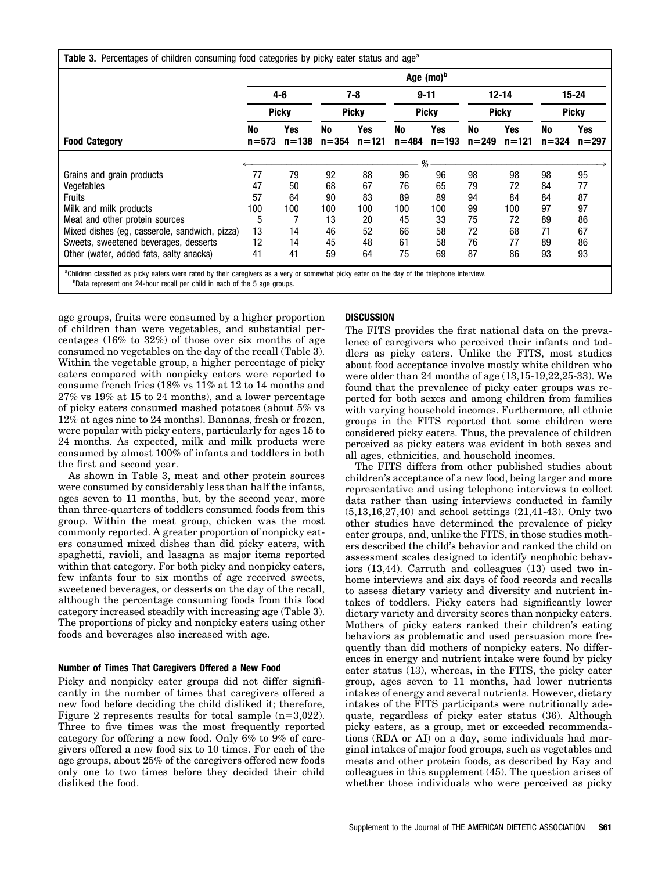|                                               | Age (mo) <sup>b</sup> |                  |                 |                  |                 |                  |                 |                  |                 |                  |
|-----------------------------------------------|-----------------------|------------------|-----------------|------------------|-----------------|------------------|-----------------|------------------|-----------------|------------------|
| <b>Food Category</b>                          |                       | 4-6              |                 | 7-8              |                 | $9 - 11$         |                 | $12 - 14$        |                 | 15-24            |
|                                               | <b>Picky</b>          |                  | <b>Picky</b>    |                  | <b>Picky</b>    |                  | <b>Picky</b>    |                  | <b>Picky</b>    |                  |
|                                               | No<br>$n = 573$       | Yes<br>$n = 138$ | No<br>$n = 354$ | Yes<br>$n = 121$ | No<br>$n = 484$ | Yes<br>$n = 193$ | No<br>$n = 249$ | Yes<br>$n = 121$ | No<br>$n = 324$ | Yes<br>$n = 297$ |
|                                               | %                     |                  |                 |                  |                 |                  |                 |                  |                 |                  |
| Grains and grain products                     | 77                    | 79               | 92              | 88               | 96              | 96               | 98              | 98               | 98              | 95               |
| Vegetables                                    | 47                    | 50               | 68              | 67               | 76              | 65               | 79              | 72               | 84              | 77               |
| <b>Fruits</b>                                 | 57                    | 64               | 90              | 83               | 89              | 89               | 94              | 84               | 84              | 87               |
| Milk and milk products                        | 100                   | 100              | 100             | 100              | 100             | 100              | 99              | 100              | 97              | 97               |
| Meat and other protein sources                | 5                     |                  | 13              | 20               | 45              | 33               | 75              | 72               | 89              | 86               |
| Mixed dishes (eg, casserole, sandwich, pizza) | 13                    | 14               | 46              | 52               | 66              | 58               | 72              | 68               | 71              | 67               |
| Sweets, sweetened beverages, desserts         | 12                    | 14               | 45              | 48               | 61              | 58               | 76              | 77               | 89              | 86               |
| Other (water, added fats, salty snacks)       | 41                    | 41               | 59              | 64               | 75              | 69               | 87              | 86               | 93              | 93               |

<sup>b</sup>Data represent one 24-hour recall per child in each of the 5 age groups.

age groups, fruits were consumed by a higher proportion of children than were vegetables, and substantial percentages (16% to 32%) of those over six months of age consumed no vegetables on the day of the recall (Table 3). Within the vegetable group, a higher percentage of picky eaters compared with nonpicky eaters were reported to consume french fries (18% vs 11% at 12 to 14 months and 27% vs 19% at 15 to 24 months), and a lower percentage of picky eaters consumed mashed potatoes (about 5% vs 12% at ages nine to 24 months). Bananas, fresh or frozen, were popular with picky eaters, particularly for ages 15 to 24 months. As expected, milk and milk products were consumed by almost 100% of infants and toddlers in both the first and second year.

As shown in Table 3, meat and other protein sources were consumed by considerably less than half the infants, ages seven to 11 months, but, by the second year, more than three-quarters of toddlers consumed foods from this group. Within the meat group, chicken was the most commonly reported. A greater proportion of nonpicky eaters consumed mixed dishes than did picky eaters, with spaghetti, ravioli, and lasagna as major items reported within that category. For both picky and nonpicky eaters, few infants four to six months of age received sweets, sweetened beverages, or desserts on the day of the recall, although the percentage consuming foods from this food category increased steadily with increasing age (Table 3). The proportions of picky and nonpicky eaters using other foods and beverages also increased with age.

# **Number of Times That Caregivers Offered a New Food**

Picky and nonpicky eater groups did not differ significantly in the number of times that caregivers offered a new food before deciding the child disliked it; therefore, Figure 2 represents results for total sample  $(n=3,022)$ . Three to five times was the most frequently reported category for offering a new food. Only 6% to 9% of caregivers offered a new food six to 10 times. For each of the age groups, about 25% of the caregivers offered new foods only one to two times before they decided their child disliked the food.

# **DISCUSSION**

The FITS provides the first national data on the prevalence of caregivers who perceived their infants and toddlers as picky eaters. Unlike the FITS, most studies about food acceptance involve mostly white children who were older than 24 months of age (13,15-19,22,25-33). We found that the prevalence of picky eater groups was reported for both sexes and among children from families with varying household incomes. Furthermore, all ethnic groups in the FITS reported that some children were considered picky eaters. Thus, the prevalence of children perceived as picky eaters was evident in both sexes and all ages, ethnicities, and household incomes.

The FITS differs from other published studies about children's acceptance of a new food, being larger and more representative and using telephone interviews to collect data rather than using interviews conducted in family (5,13,16,27,40) and school settings (21,41-43). Only two other studies have determined the prevalence of picky eater groups, and, unlike the FITS, in those studies mothers described the child's behavior and ranked the child on assessment scales designed to identify neophobic behaviors (13,44). Carruth and colleagues (13) used two inhome interviews and six days of food records and recalls to assess dietary variety and diversity and nutrient intakes of toddlers. Picky eaters had significantly lower dietary variety and diversity scores than nonpicky eaters. Mothers of picky eaters ranked their children's eating behaviors as problematic and used persuasion more frequently than did mothers of nonpicky eaters. No differences in energy and nutrient intake were found by picky eater status (13), whereas, in the FITS, the picky eater group, ages seven to 11 months, had lower nutrients intakes of energy and several nutrients. However, dietary intakes of the FITS participants were nutritionally adequate, regardless of picky eater status (36). Although picky eaters, as a group, met or exceeded recommendations (RDA or AI) on a day, some individuals had marginal intakes of major food groups, such as vegetables and meats and other protein foods, as described by Kay and colleagues in this supplement (45). The question arises of whether those individuals who were perceived as picky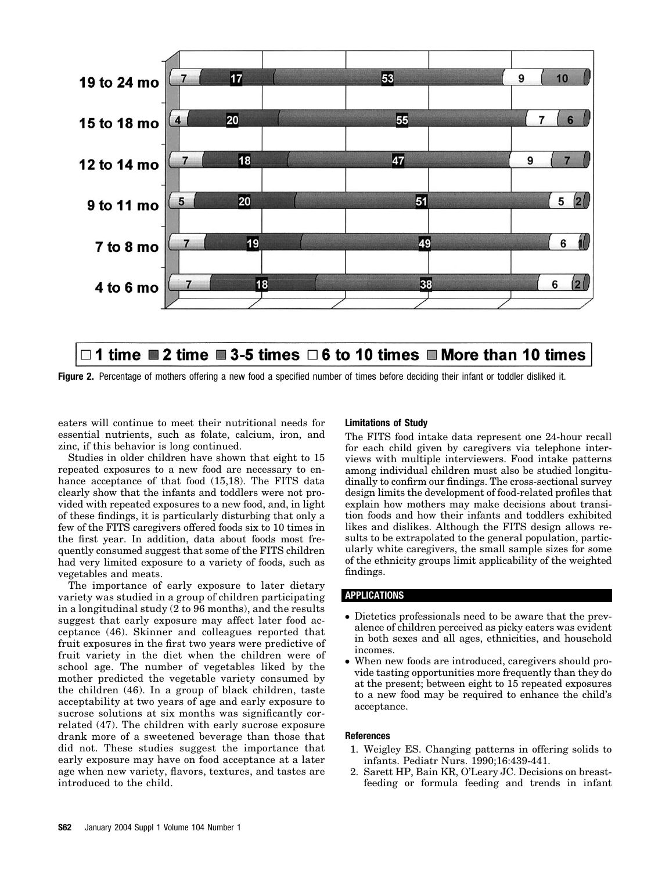

# □ 1 time ■ 2 time ■ 3-5 times □ 6 to 10 times ■ More than 10 times

**Figure 2.** Percentage of mothers offering a new food a specified number of times before deciding their infant or toddler disliked it.

eaters will continue to meet their nutritional needs for essential nutrients, such as folate, calcium, iron, and zinc, if this behavior is long continued.

Studies in older children have shown that eight to 15 repeated exposures to a new food are necessary to enhance acceptance of that food (15,18). The FITS data clearly show that the infants and toddlers were not provided with repeated exposures to a new food, and, in light of these findings, it is particularly disturbing that only a few of the FITS caregivers offered foods six to 10 times in the first year. In addition, data about foods most frequently consumed suggest that some of the FITS children had very limited exposure to a variety of foods, such as vegetables and meats.

The importance of early exposure to later dietary variety was studied in a group of children participating in a longitudinal study (2 to 96 months), and the results suggest that early exposure may affect later food acceptance (46). Skinner and colleagues reported that fruit exposures in the first two years were predictive of fruit variety in the diet when the children were of school age. The number of vegetables liked by the mother predicted the vegetable variety consumed by the children (46). In a group of black children, taste acceptability at two years of age and early exposure to sucrose solutions at six months was significantly correlated (47). The children with early sucrose exposure drank more of a sweetened beverage than those that did not. These studies suggest the importance that early exposure may have on food acceptance at a later age when new variety, flavors, textures, and tastes are introduced to the child.

#### **Limitations of Study**

The FITS food intake data represent one 24-hour recall for each child given by caregivers via telephone interviews with multiple interviewers. Food intake patterns among individual children must also be studied longitudinally to confirm our findings. The cross-sectional survey design limits the development of food-related profiles that explain how mothers may make decisions about transition foods and how their infants and toddlers exhibited likes and dislikes. Although the FITS design allows results to be extrapolated to the general population, particularly white caregivers, the small sample sizes for some of the ethnicity groups limit applicability of the weighted findings.

#### **APPLICATIONS**

- Dietetics professionals need to be aware that the prevalence of children perceived as picky eaters was evident in both sexes and all ages, ethnicities, and household incomes.
- When new foods are introduced, caregivers should provide tasting opportunities more frequently than they do at the present; between eight to 15 repeated exposures to a new food may be required to enhance the child's acceptance.

#### **References**

- 1. Weigley ES. Changing patterns in offering solids to infants. Pediatr Nurs. 1990;16:439-441.
- 2. Sarett HP, Bain KR, O'Leary JC. Decisions on breastfeeding or formula feeding and trends in infant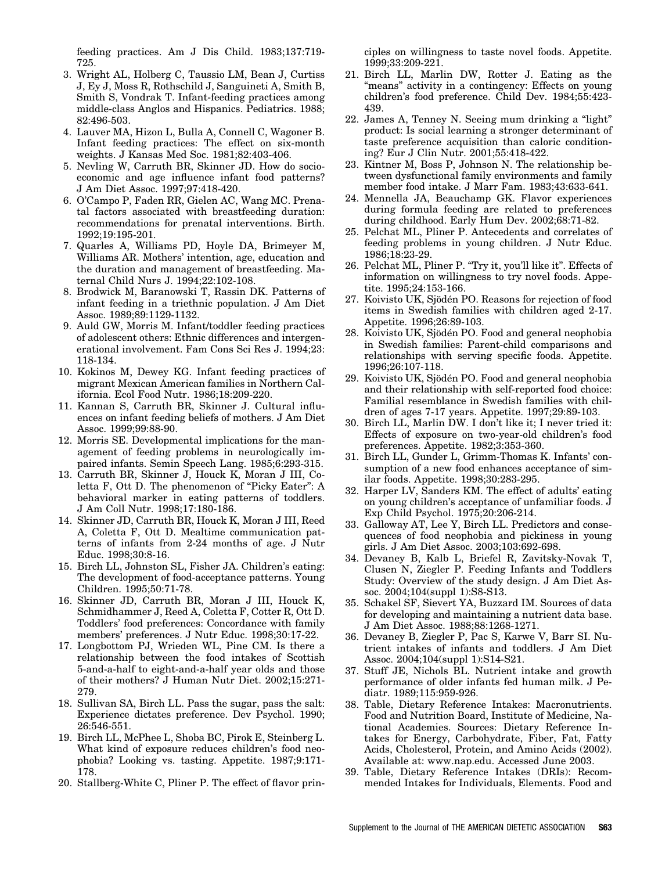feeding practices. Am J Dis Child. 1983;137:719- 725.

- 3. Wright AL, Holberg C, Taussio LM, Bean J, Curtiss J, Ey J, Moss R, Rothschild J, Sanguineti A, Smith B, Smith S, Vondrak T. Infant-feeding practices among middle-class Anglos and Hispanics. Pediatrics. 1988; 82:496-503.
- 4. Lauver MA, Hizon L, Bulla A, Connell C, Wagoner B. Infant feeding practices: The effect on six-month weights. J Kansas Med Soc. 1981;82:403-406.
- 5. Nevling W, Carruth BR, Skinner JD. How do socioeconomic and age influence infant food patterns? J Am Diet Assoc. 1997;97:418-420.
- 6. O'Campo P, Faden RR, Gielen AC, Wang MC. Prenatal factors associated with breastfeeding duration: recommendations for prenatal interventions. Birth. 1992;19:195-201.
- 7. Quarles A, Williams PD, Hoyle DA, Brimeyer M, Williams AR. Mothers' intention, age, education and the duration and management of breastfeeding. Maternal Child Nurs J. 1994;22:102-108.
- 8. Brodwick M, Baranowski T, Rassin DK. Patterns of infant feeding in a triethnic population. J Am Diet Assoc. 1989;89:1129-1132.
- 9. Auld GW, Morris M. Infant/toddler feeding practices of adolescent others: Ethnic differences and intergenerational involvement. Fam Cons Sci Res J. 1994;23: 118-134.
- 10. Kokinos M, Dewey KG. Infant feeding practices of migrant Mexican American families in Northern California. Ecol Food Nutr. 1986;18:209-220.
- 11. Kannan S, Carruth BR, Skinner J. Cultural influences on infant feeding beliefs of mothers. J Am Diet Assoc. 1999;99:88-90.
- 12. Morris SE. Developmental implications for the management of feeding problems in neurologically impaired infants. Semin Speech Lang. 1985;6:293-315.
- 13. Carruth BR, Skinner J, Houck K, Moran J III, Coletta F, Ott D. The phenomenon of "Picky Eater": A behavioral marker in eating patterns of toddlers. J Am Coll Nutr. 1998;17:180-186.
- 14. Skinner JD, Carruth BR, Houck K, Moran J III, Reed A, Coletta F, Ott D. Mealtime communication patterns of infants from 2-24 months of age. J Nutr Educ. 1998;30:8-16.
- 15. Birch LL, Johnston SL, Fisher JA. Children's eating: The development of food-acceptance patterns. Young Children. 1995;50:71-78.
- 16. Skinner JD, Carruth BR, Moran J III, Houck K, Schmidhammer J, Reed A, Coletta F, Cotter R, Ott D. Toddlers' food preferences: Concordance with family members' preferences. J Nutr Educ. 1998;30:17-22.
- 17. Longbottom PJ, Wrieden WL, Pine CM. Is there a relationship between the food intakes of Scottish 5-and-a-half to eight-and-a-half year olds and those of their mothers? J Human Nutr Diet. 2002;15:271- 279.
- 18. Sullivan SA, Birch LL. Pass the sugar, pass the salt: Experience dictates preference. Dev Psychol. 1990; 26:546-551.
- 19. Birch LL, McPhee L, Shoba BC, Pirok E, Steinberg L. What kind of exposure reduces children's food neophobia? Looking vs. tasting. Appetite. 1987;9:171- 178.
- 20. Stallberg-White C, Pliner P. The effect of flavor prin-

ciples on willingness to taste novel foods. Appetite. 1999;33:209-221.

- 21. Birch LL, Marlin DW, Rotter J. Eating as the "means" activity in a contingency: Effects on young children's food preference. Child Dev. 1984;55:423- 439.
- 22. James A, Tenney N. Seeing mum drinking a "light" product: Is social learning a stronger determinant of taste preference acquisition than caloric conditioning? Eur J Clin Nutr. 2001;55:418-422.
- 23. Kintner M, Boss P, Johnson N. The relationship between dysfunctional family environments and family member food intake. J Marr Fam. 1983;43:633-641.
- 24. Mennella JA, Beauchamp GK. Flavor experiences during formula feeding are related to preferences during childhood. Early Hum Dev. 2002;68:71-82.
- 25. Pelchat ML, Pliner P. Antecedents and correlates of feeding problems in young children. J Nutr Educ. 1986;18:23-29.
- 26. Pelchat ML, Pliner P. "Try it, you'll like it". Effects of information on willingness to try novel foods. Appetite. 1995;24:153-166.
- 27. Koivisto UK, Sjödén PO. Reasons for rejection of food items in Swedish families with children aged 2-17. Appetite. 1996;26:89-103.
- 28. Koivisto UK, Sjödén PO. Food and general neophobia in Swedish families: Parent-child comparisons and relationships with serving specific foods. Appetite. 1996;26:107-118.
- 29. Koivisto UK, Sjödén PO. Food and general neophobia and their relationship with self-reported food choice: Familial resemblance in Swedish families with children of ages 7-17 years. Appetite. 1997;29:89-103.
- 30. Birch LL, Marlin DW. I don't like it; I never tried it: Effects of exposure on two-year-old children's food preferences. Appetite. 1982;3:353-360.
- 31. Birch LL, Gunder L, Grimm-Thomas K. Infants' consumption of a new food enhances acceptance of similar foods. Appetite. 1998;30:283-295.
- 32. Harper LV, Sanders KM. The effect of adults' eating on young children's acceptance of unfamiliar foods. J Exp Child Psychol. 1975;20:206-214.
- 33. Galloway AT, Lee Y, Birch LL. Predictors and consequences of food neophobia and pickiness in young girls. J Am Diet Assoc. 2003;103:692-698.
- 34. Devaney B, Kalb L, Briefel R, Zavitsky-Novak T, Clusen N, Ziegler P. Feeding Infants and Toddlers Study: Overview of the study design. J Am Diet Assoc. 2004;104(suppl 1):S8-S13.
- 35. Schakel SF, Sievert YA, Buzzard IM. Sources of data for developing and maintaining a nutrient data base. J Am Diet Assoc. 1988;88:1268-1271.
- 36. Devaney B, Ziegler P, Pac S, Karwe V, Barr SI. Nutrient intakes of infants and toddlers. J Am Diet Assoc. 2004;104(suppl 1):S14-S21.
- 37. Stuff JE, Nichols BL. Nutrient intake and growth performance of older infants fed human milk. J Pediatr. 1989;115:959-926.
- 38. Table, Dietary Reference Intakes: Macronutrients. Food and Nutrition Board, Institute of Medicine, National Academies. Sources: Dietary Reference Intakes for Energy, Carbohydrate, Fiber, Fat, Fatty Acids, Cholesterol, Protein, and Amino Acids (2002). Available at: www.nap.edu. Accessed June 2003.
- 39. Table, Dietary Reference Intakes (DRIs): Recommended Intakes for Individuals, Elements. Food and